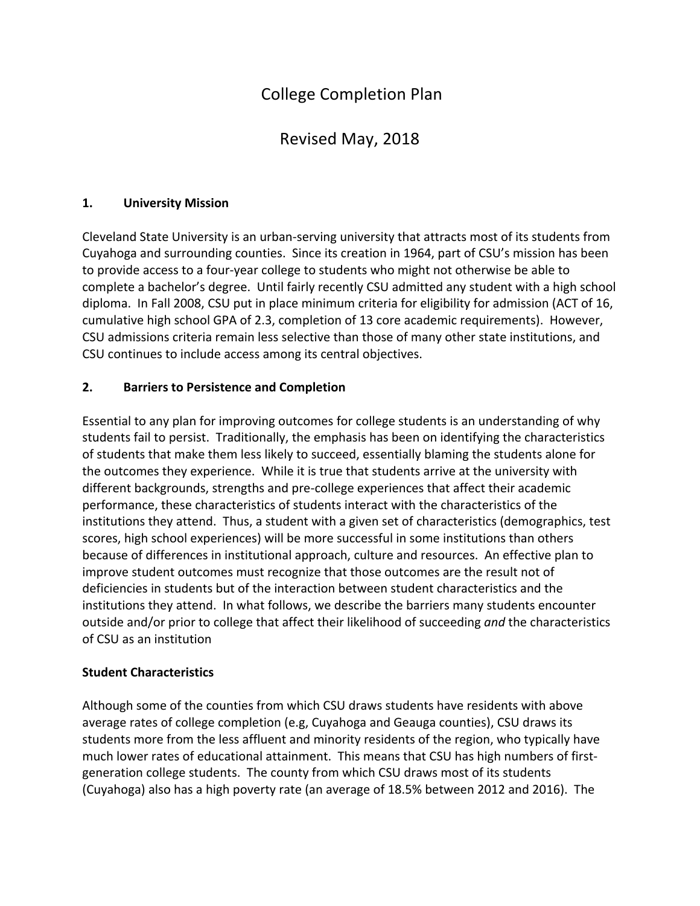# College Completion Plan

# Revised May, 2018

#### **1. University Mission**

Cleveland State University is an urban-serving university that attracts most of its students from Cuyahoga and surrounding counties. Since its creation in 1964, part of CSU's mission has been to provide access to a four-year college to students who might not otherwise be able to complete a bachelor's degree. Until fairly recently CSU admitted any student with a high school diploma. In Fall 2008, CSU put in place minimum criteria for eligibility for admission (ACT of 16, cumulative high school GPA of 2.3, completion of 13 core academic requirements). However, CSU admissions criteria remain less selective than those of many other state institutions, and CSU continues to include access among its central objectives.

#### **2.** Barriers to Persistence and Completion

Essential to any plan for improving outcomes for college students is an understanding of why students fail to persist. Traditionally, the emphasis has been on identifying the characteristics of students that make them less likely to succeed, essentially blaming the students alone for the outcomes they experience. While it is true that students arrive at the university with different backgrounds, strengths and pre-college experiences that affect their academic performance, these characteristics of students interact with the characteristics of the institutions they attend. Thus, a student with a given set of characteristics (demographics, test scores, high school experiences) will be more successful in some institutions than others because of differences in institutional approach, culture and resources. An effective plan to improve student outcomes must recognize that those outcomes are the result not of deficiencies in students but of the interaction between student characteristics and the institutions they attend. In what follows, we describe the barriers many students encounter outside and/or prior to college that affect their likelihood of succeeding and the characteristics of CSU as an institution

#### **Student Characteristics**

Although some of the counties from which CSU draws students have residents with above average rates of college completion (e.g, Cuyahoga and Geauga counties), CSU draws its students more from the less affluent and minority residents of the region, who typically have much lower rates of educational attainment. This means that CSU has high numbers of firstgeneration college students. The county from which CSU draws most of its students (Cuyahoga) also has a high poverty rate (an average of 18.5% between 2012 and 2016). The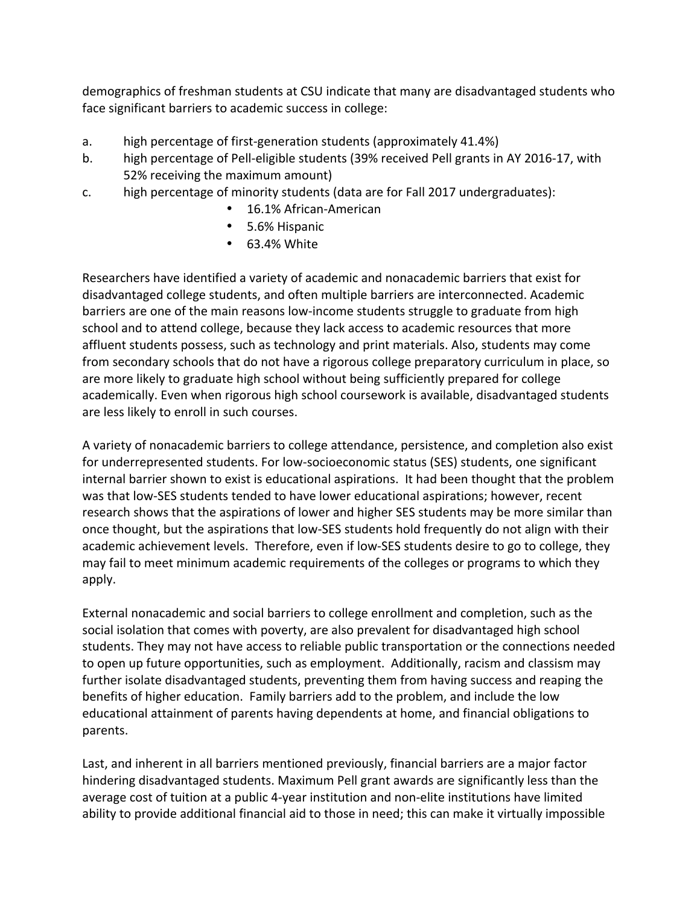demographics of freshman students at CSU indicate that many are disadvantaged students who face significant barriers to academic success in college:

- a. high percentage of first-generation students (approximately 41.4%)
- b. high percentage of Pell-eligible students (39% received Pell grants in AY 2016-17, with 52% receiving the maximum amount)
- c. high percentage of minority students (data are for Fall 2017 undergraduates):
	- 16.1% African-American
	- 5.6% Hispanic
	- 63.4% White

Researchers have identified a variety of academic and nonacademic barriers that exist for disadvantaged college students, and often multiple barriers are interconnected. Academic barriers are one of the main reasons low-income students struggle to graduate from high school and to attend college, because they lack access to academic resources that more affluent students possess, such as technology and print materials. Also, students may come from secondary schools that do not have a rigorous college preparatory curriculum in place, so are more likely to graduate high school without being sufficiently prepared for college academically. Even when rigorous high school coursework is available, disadvantaged students are less likely to enroll in such courses.

A variety of nonacademic barriers to college attendance, persistence, and completion also exist for underrepresented students. For low-socioeconomic status (SES) students, one significant internal barrier shown to exist is educational aspirations. It had been thought that the problem was that low-SES students tended to have lower educational aspirations; however, recent research shows that the aspirations of lower and higher SES students may be more similar than once thought, but the aspirations that low-SES students hold frequently do not align with their academic achievement levels. Therefore, even if low-SES students desire to go to college, they may fail to meet minimum academic requirements of the colleges or programs to which they apply.

External nonacademic and social barriers to college enrollment and completion, such as the social isolation that comes with poverty, are also prevalent for disadvantaged high school students. They may not have access to reliable public transportation or the connections needed to open up future opportunities, such as employment. Additionally, racism and classism may further isolate disadvantaged students, preventing them from having success and reaping the benefits of higher education. Family barriers add to the problem, and include the low educational attainment of parents having dependents at home, and financial obligations to parents. 

Last, and inherent in all barriers mentioned previously, financial barriers are a major factor hindering disadvantaged students. Maximum Pell grant awards are significantly less than the average cost of tuition at a public 4-year institution and non-elite institutions have limited ability to provide additional financial aid to those in need; this can make it virtually impossible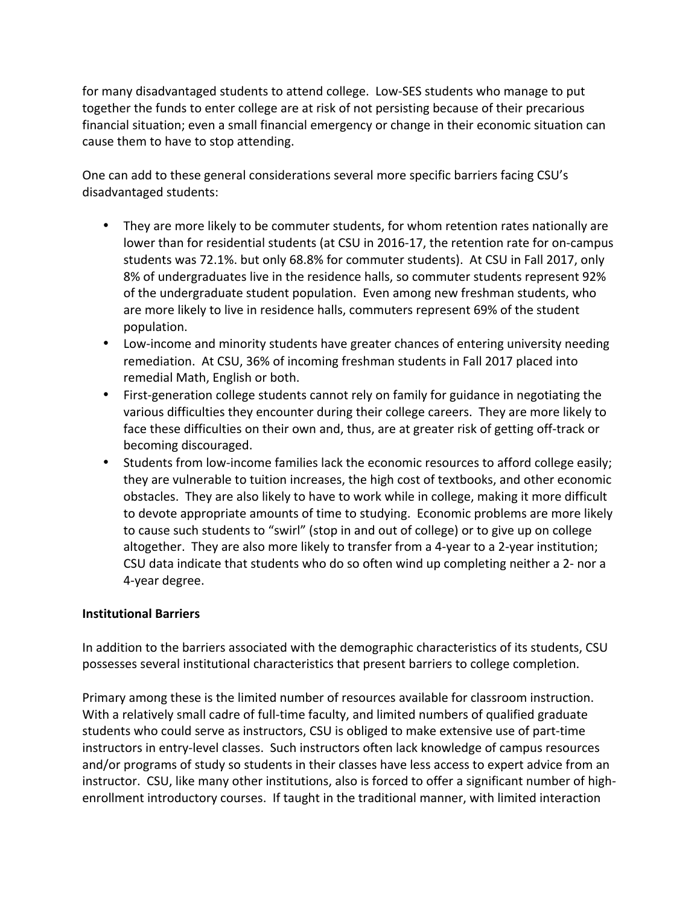for many disadvantaged students to attend college. Low-SES students who manage to put together the funds to enter college are at risk of not persisting because of their precarious financial situation; even a small financial emergency or change in their economic situation can cause them to have to stop attending.

One can add to these general considerations several more specific barriers facing CSU's disadvantaged students:

- They are more likely to be commuter students, for whom retention rates nationally are lower than for residential students (at CSU in 2016-17, the retention rate for on-campus students was 72.1%. but only 68.8% for commuter students). At CSU in Fall 2017, only 8% of undergraduates live in the residence halls, so commuter students represent 92% of the undergraduate student population. Even among new freshman students, who are more likely to live in residence halls, commuters represent 69% of the student population.
- Low-income and minority students have greater chances of entering university needing remediation. At CSU, 36% of incoming freshman students in Fall 2017 placed into remedial Math, English or both.
- First-generation college students cannot rely on family for guidance in negotiating the various difficulties they encounter during their college careers. They are more likely to face these difficulties on their own and, thus, are at greater risk of getting off-track or becoming discouraged.
- Students from low-income families lack the economic resources to afford college easily; they are vulnerable to tuition increases, the high cost of textbooks, and other economic obstacles. They are also likely to have to work while in college, making it more difficult to devote appropriate amounts of time to studying. Economic problems are more likely to cause such students to "swirl" (stop in and out of college) or to give up on college altogether. They are also more likely to transfer from a 4-year to a 2-year institution; CSU data indicate that students who do so often wind up completing neither a 2- nor a 4-year degree.

#### **Institutional Barriers**

In addition to the barriers associated with the demographic characteristics of its students, CSU possesses several institutional characteristics that present barriers to college completion.

Primary among these is the limited number of resources available for classroom instruction. With a relatively small cadre of full-time faculty, and limited numbers of qualified graduate students who could serve as instructors, CSU is obliged to make extensive use of part-time instructors in entry-level classes. Such instructors often lack knowledge of campus resources and/or programs of study so students in their classes have less access to expert advice from an instructor. CSU, like many other institutions, also is forced to offer a significant number of highenrollment introductory courses. If taught in the traditional manner, with limited interaction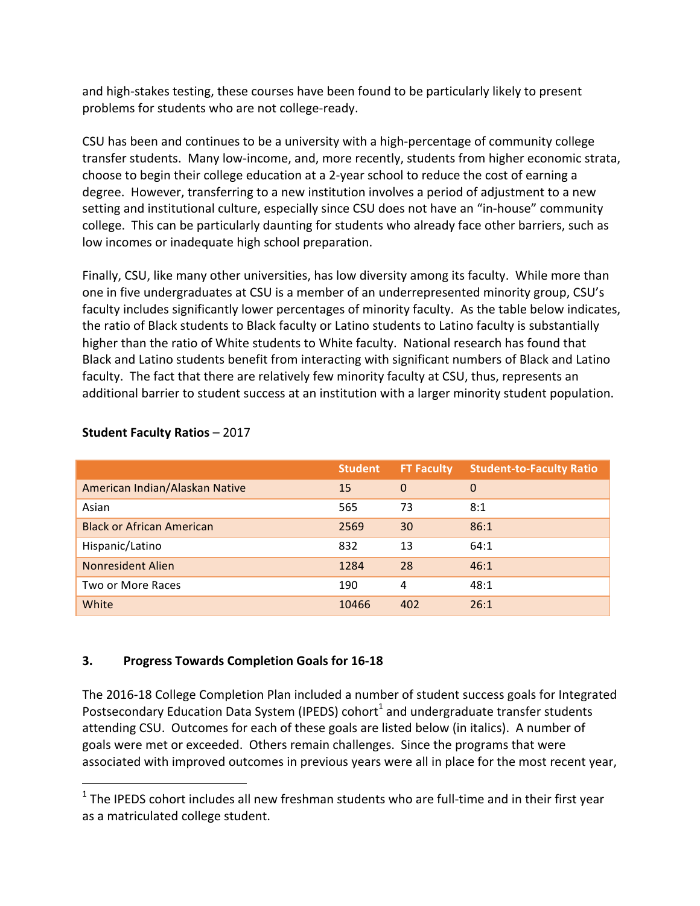and high-stakes testing, these courses have been found to be particularly likely to present problems for students who are not college-ready.

CSU has been and continues to be a university with a high-percentage of community college transfer students. Many low-income, and, more recently, students from higher economic strata, choose to begin their college education at a 2-year school to reduce the cost of earning a degree. However, transferring to a new institution involves a period of adjustment to a new setting and institutional culture, especially since CSU does not have an "in-house" community college. This can be particularly daunting for students who already face other barriers, such as low incomes or inadequate high school preparation.

Finally, CSU, like many other universities, has low diversity among its faculty. While more than one in five undergraduates at CSU is a member of an underrepresented minority group, CSU's faculty includes significantly lower percentages of minority faculty. As the table below indicates, the ratio of Black students to Black faculty or Latino students to Latino faculty is substantially higher than the ratio of White students to White faculty. National research has found that Black and Latino students benefit from interacting with significant numbers of Black and Latino faculty. The fact that there are relatively few minority faculty at CSU, thus, represents an additional barrier to student success at an institution with a larger minority student population.

|                                  | <b>Student</b> | <b>FT Faculty</b> | <b>Student-to-Faculty Ratio</b> |
|----------------------------------|----------------|-------------------|---------------------------------|
| American Indian/Alaskan Native   | 15             | $\Omega$          | $\mathbf{0}$                    |
| Asian                            | 565            | 73                | 8:1                             |
| <b>Black or African American</b> | 2569           | 30                | 86:1                            |
| Hispanic/Latino                  | 832            | 13                | 64:1                            |
| Nonresident Alien                | 1284           | 28                | 46:1                            |
| Two or More Races                | 190            | 4                 | 48:1                            |
| White                            | 10466          | 402               | 26:1                            |

#### **Student Faculty Ratios – 2017**

 

#### **3.** Progress Towards Completion Goals for 16-18

The 2016-18 College Completion Plan included a number of student success goals for Integrated Postsecondary Education Data System (IPEDS) cohort<sup>1</sup> and undergraduate transfer students attending CSU. Outcomes for each of these goals are listed below (in italics). A number of goals were met or exceeded. Others remain challenges. Since the programs that were associated with improved outcomes in previous years were all in place for the most recent year,

 $1$  The IPEDS cohort includes all new freshman students who are full-time and in their first year as a matriculated college student.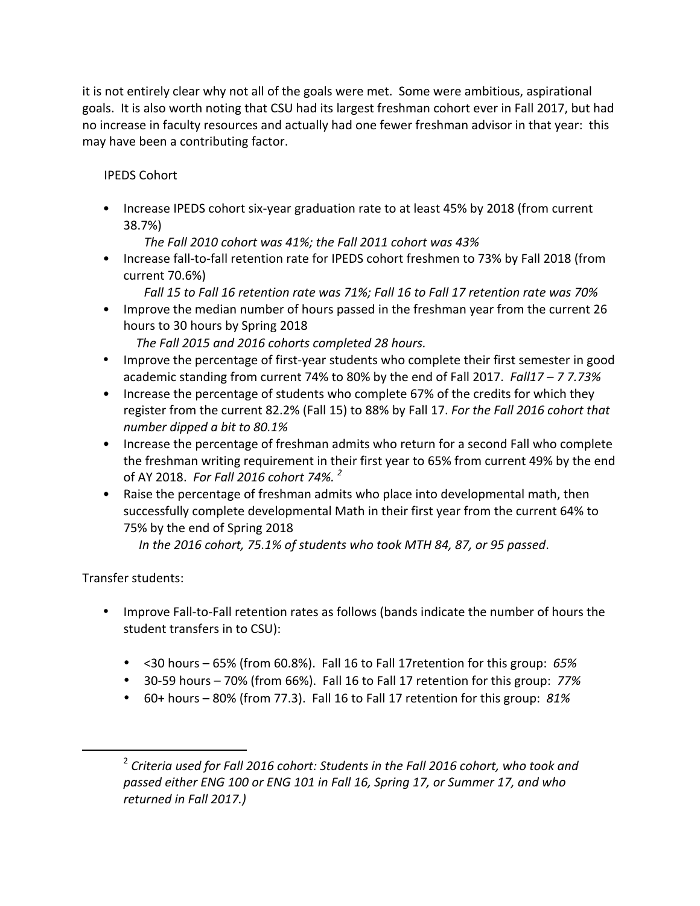it is not entirely clear why not all of the goals were met. Some were ambitious, aspirational goals. It is also worth noting that CSU had its largest freshman cohort ever in Fall 2017, but had no increase in faculty resources and actually had one fewer freshman advisor in that year: this may have been a contributing factor.

## IPEDS Cohort

• Increase IPEDS cohort six-year graduation rate to at least 45% by 2018 (from current 38.7%)

*The Fall 2010 cohort was 41%; the Fall 2011 cohort was 43%*

- Increase fall-to-fall retention rate for IPEDS cohort freshmen to 73% by Fall 2018 (from current 70.6%)
	- *Fall 15 to Fall 16 retention rate was 71%; Fall 16 to Fall 17 retention rate was 70%*
- Improve the median number of hours passed in the freshman year from the current 26 hours to 30 hours by Spring 2018

The Fall 2015 and 2016 cohorts completed 28 hours.

- Improve the percentage of first-year students who complete their first semester in good academic standing from current 74% to 80% by the end of Fall 2017. Fall17 – 7 7.73%
- Increase the percentage of students who complete 67% of the credits for which they register from the current 82.2% (Fall 15) to 88% by Fall 17. For the Fall 2016 cohort that *number dipped a bit to 80.1%*
- Increase the percentage of freshman admits who return for a second Fall who complete the freshman writing requirement in their first year to 65% from current 49% by the end of AY 2018. *For Fall 2016 cohort 74%. <sup>2</sup>*
- Raise the percentage of freshman admits who place into developmental math, then successfully complete developmental Math in their first year from the current 64% to 75% by the end of Spring 2018

In the 2016 cohort, 75.1% of students who took MTH 84, 87, or 95 passed.

Transfer students:

 

- Improve Fall-to-Fall retention rates as follows (bands indicate the number of hours the student transfers in to CSU):
	- $\leq$  <30 hours 65% (from 60.8%). Fall 16 to Fall 17 retention for this group: 65%
	- 30-59 hours – 70% (from 66%). Fall 16 to Fall 17 retention for this group: *77%*
	- 60+ hours 80% (from 77.3). Fall 16 to Fall 17 retention for this group: 81%

<sup>&</sup>lt;sup>2</sup> Criteria used for Fall 2016 cohort: Students in the Fall 2016 cohort, who took and passed either ENG 100 or ENG 101 in Fall 16, Spring 17, or Summer 17, and who *returned in Fall 2017.)*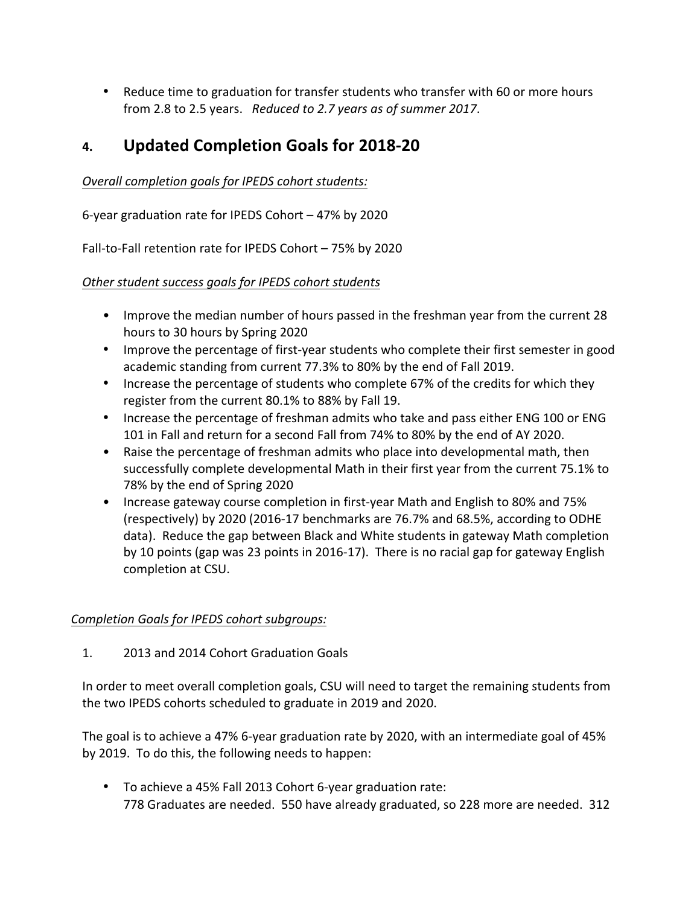• Reduce time to graduation for transfer students who transfer with 60 or more hours from 2.8 to 2.5 years. *Reduced to 2.7 years as of summer 2017*.

# **4. Updated Completion Goals for 2018-20**

*Overall completion goals for IPEDS cohort students:*

6-year graduation rate for IPEDS Cohort - 47% by 2020

Fall-to-Fall retention rate for IPEDS Cohort - 75% by 2020

**Other student success goals for IPEDS cohort students** 

- Improve the median number of hours passed in the freshman year from the current 28 hours to 30 hours by Spring 2020
- Improve the percentage of first-year students who complete their first semester in good academic standing from current 77.3% to 80% by the end of Fall 2019.
- Increase the percentage of students who complete 67% of the credits for which they register from the current 80.1% to 88% by Fall 19.
- Increase the percentage of freshman admits who take and pass either ENG 100 or ENG 101 in Fall and return for a second Fall from 74% to 80% by the end of AY 2020.
- Raise the percentage of freshman admits who place into developmental math, then successfully complete developmental Math in their first year from the current 75.1% to 78% by the end of Spring 2020
- Increase gateway course completion in first-year Math and English to 80% and 75% (respectively) by 2020 (2016-17 benchmarks are 76.7% and 68.5%, according to ODHE data). Reduce the gap between Black and White students in gateway Math completion by 10 points (gap was 23 points in 2016-17). There is no racial gap for gateway English completion at CSU.

#### *Completion Goals for IPEDS cohort subgroups:*

1. 2013 and 2014 Cohort Graduation Goals

In order to meet overall completion goals, CSU will need to target the remaining students from the two IPEDS cohorts scheduled to graduate in 2019 and 2020.

The goal is to achieve a 47% 6-year graduation rate by 2020, with an intermediate goal of 45% by 2019. To do this, the following needs to happen:

• To achieve a 45% Fall 2013 Cohort 6-year graduation rate: 778 Graduates are needed. 550 have already graduated, so 228 more are needed. 312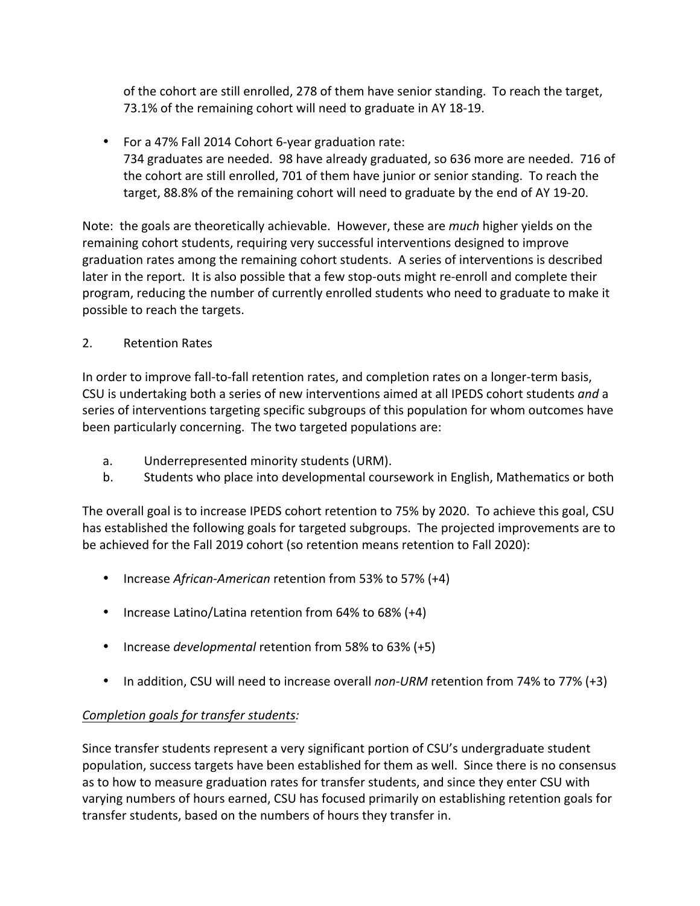of the cohort are still enrolled, 278 of them have senior standing. To reach the target, 73.1% of the remaining cohort will need to graduate in AY 18-19.

• For a 47% Fall 2014 Cohort 6-year graduation rate: 734 graduates are needed. 98 have already graduated, so 636 more are needed. 716 of the cohort are still enrolled, 701 of them have junior or senior standing. To reach the target, 88.8% of the remaining cohort will need to graduate by the end of AY 19-20.

Note: the goals are theoretically achievable. However, these are *much* higher yields on the remaining cohort students, requiring very successful interventions designed to improve graduation rates among the remaining cohort students. A series of interventions is described later in the report. It is also possible that a few stop-outs might re-enroll and complete their program, reducing the number of currently enrolled students who need to graduate to make it possible to reach the targets.

2. Retention Rates

In order to improve fall-to-fall retention rates, and completion rates on a longer-term basis, CSU is undertaking both a series of new interventions aimed at all IPEDS cohort students and a series of interventions targeting specific subgroups of this population for whom outcomes have been particularly concerning. The two targeted populations are:

- a. Underrepresented minority students (URM).
- b. Students who place into developmental coursework in English, Mathematics or both

The overall goal is to increase IPEDS cohort retention to 75% by 2020. To achieve this goal, CSU has established the following goals for targeted subgroups. The projected improvements are to be achieved for the Fall 2019 cohort (so retention means retention to Fall 2020):

- Increase *African-American* retention from 53% to 57% (+4)
- Increase Latino/Latina retention from 64% to 68% (+4)
- Increase *developmental* retention from 58% to 63% (+5)
- In addition, CSU will need to increase overall *non-URM* retention from 74% to 77% (+3)

#### *Completion goals for transfer students:*

Since transfer students represent a very significant portion of CSU's undergraduate student population, success targets have been established for them as well. Since there is no consensus as to how to measure graduation rates for transfer students, and since they enter CSU with varying numbers of hours earned, CSU has focused primarily on establishing retention goals for transfer students, based on the numbers of hours they transfer in.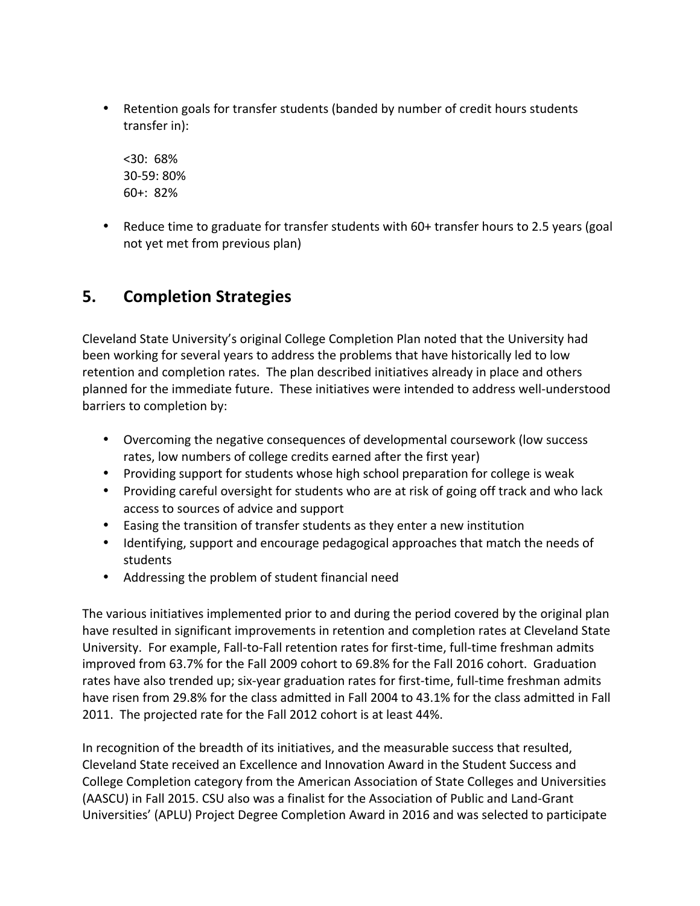• Retention goals for transfer students (banded by number of credit hours students transfer in):

<30: 68% 30-59: 80%  $60+: 82\%$ 

• Reduce time to graduate for transfer students with 60+ transfer hours to 2.5 years (goal not yet met from previous plan)

# **5. Completion Strategies**

Cleveland State University's original College Completion Plan noted that the University had been working for several years to address the problems that have historically led to low retention and completion rates. The plan described initiatives already in place and others planned for the immediate future. These initiatives were intended to address well-understood barriers to completion by:

- Overcoming the negative consequences of developmental coursework (low success rates, low numbers of college credits earned after the first year)
- Providing support for students whose high school preparation for college is weak
- Providing careful oversight for students who are at risk of going off track and who lack access to sources of advice and support
- Easing the transition of transfer students as they enter a new institution
- Identifying, support and encourage pedagogical approaches that match the needs of students
- Addressing the problem of student financial need

The various initiatives implemented prior to and during the period covered by the original plan have resulted in significant improvements in retention and completion rates at Cleveland State University. For example, Fall-to-Fall retention rates for first-time, full-time freshman admits improved from 63.7% for the Fall 2009 cohort to 69.8% for the Fall 2016 cohort. Graduation rates have also trended up; six-year graduation rates for first-time, full-time freshman admits have risen from 29.8% for the class admitted in Fall 2004 to 43.1% for the class admitted in Fall 2011. The projected rate for the Fall 2012 cohort is at least 44%.

In recognition of the breadth of its initiatives, and the measurable success that resulted, Cleveland State received an Excellence and Innovation Award in the Student Success and College Completion category from the American Association of State Colleges and Universities (AASCU) in Fall 2015. CSU also was a finalist for the Association of Public and Land-Grant Universities' (APLU) Project Degree Completion Award in 2016 and was selected to participate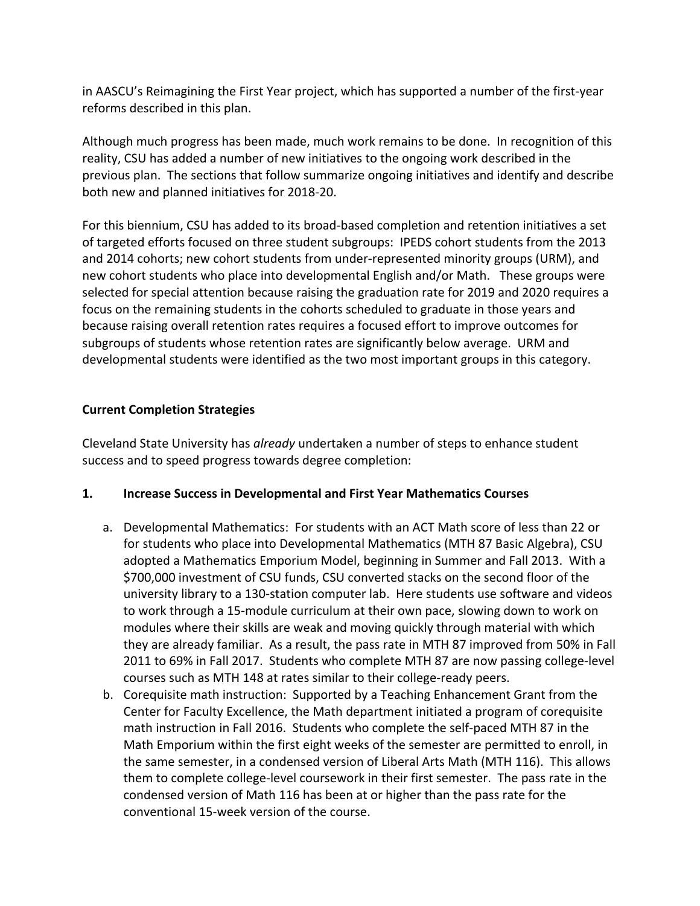in AASCU's Reimagining the First Year project, which has supported a number of the first-year reforms described in this plan.

Although much progress has been made, much work remains to be done. In recognition of this reality, CSU has added a number of new initiatives to the ongoing work described in the previous plan. The sections that follow summarize ongoing initiatives and identify and describe both new and planned initiatives for 2018-20.

For this biennium, CSU has added to its broad-based completion and retention initiatives a set of targeted efforts focused on three student subgroups: IPEDS cohort students from the 2013 and 2014 cohorts; new cohort students from under-represented minority groups (URM), and new cohort students who place into developmental English and/or Math. These groups were selected for special attention because raising the graduation rate for 2019 and 2020 requires a focus on the remaining students in the cohorts scheduled to graduate in those years and because raising overall retention rates requires a focused effort to improve outcomes for subgroups of students whose retention rates are significantly below average. URM and developmental students were identified as the two most important groups in this category.

#### **Current Completion Strategies**

Cleveland State University has *already* undertaken a number of steps to enhance student success and to speed progress towards degree completion:

#### **1. Increase Success in Developmental and First Year Mathematics Courses**

- a. Developmental Mathematics: For students with an ACT Math score of less than 22 or for students who place into Developmental Mathematics (MTH 87 Basic Algebra), CSU adopted a Mathematics Emporium Model, beginning in Summer and Fall 2013. With a \$700,000 investment of CSU funds, CSU converted stacks on the second floor of the university library to a 130-station computer lab. Here students use software and videos to work through a 15-module curriculum at their own pace, slowing down to work on modules where their skills are weak and moving quickly through material with which they are already familiar. As a result, the pass rate in MTH 87 improved from 50% in Fall 2011 to 69% in Fall 2017. Students who complete MTH 87 are now passing college-level courses such as MTH 148 at rates similar to their college-ready peers.
- b. Corequisite math instruction: Supported by a Teaching Enhancement Grant from the Center for Faculty Excellence, the Math department initiated a program of corequisite math instruction in Fall 2016. Students who complete the self-paced MTH 87 in the Math Emporium within the first eight weeks of the semester are permitted to enroll, in the same semester, in a condensed version of Liberal Arts Math (MTH 116). This allows them to complete college-level coursework in their first semester. The pass rate in the condensed version of Math 116 has been at or higher than the pass rate for the conventional 15-week version of the course.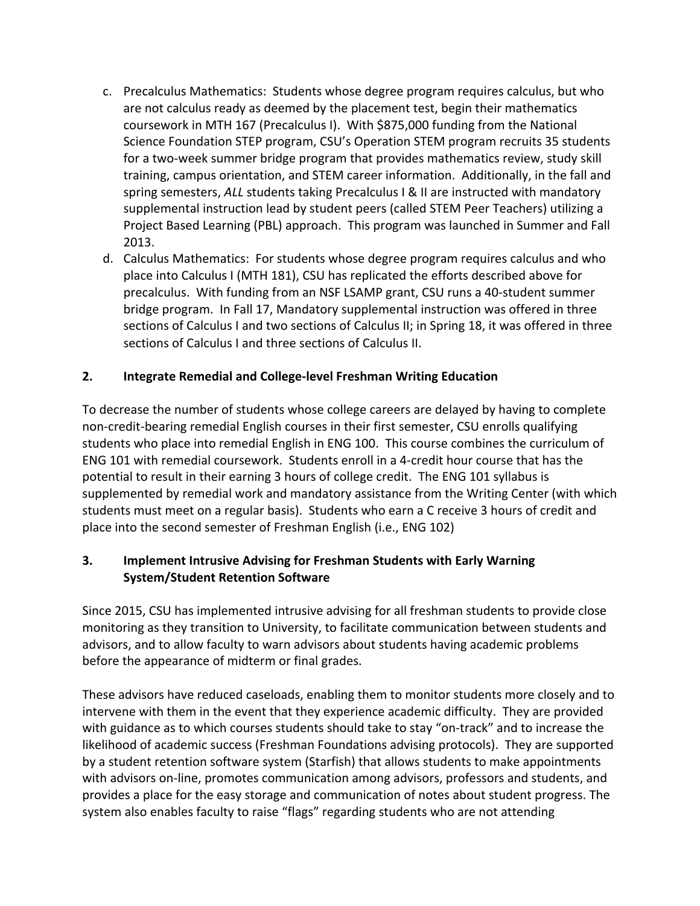- c. Precalculus Mathematics: Students whose degree program requires calculus, but who are not calculus ready as deemed by the placement test, begin their mathematics coursework in MTH 167 (Precalculus I). With \$875,000 funding from the National Science Foundation STEP program, CSU's Operation STEM program recruits 35 students for a two-week summer bridge program that provides mathematics review, study skill training, campus orientation, and STEM career information. Additionally, in the fall and spring semesters, ALL students taking Precalculus I & II are instructed with mandatory supplemental instruction lead by student peers (called STEM Peer Teachers) utilizing a Project Based Learning (PBL) approach. This program was launched in Summer and Fall 2013.
- d. Calculus Mathematics: For students whose degree program requires calculus and who place into Calculus I (MTH 181), CSU has replicated the efforts described above for precalculus. With funding from an NSF LSAMP grant, CSU runs a 40-student summer bridge program. In Fall 17, Mandatory supplemental instruction was offered in three sections of Calculus I and two sections of Calculus II; in Spring 18, it was offered in three sections of Calculus I and three sections of Calculus II.

## **2. Integrate Remedial and College-level Freshman Writing Education**

To decrease the number of students whose college careers are delayed by having to complete non-credit-bearing remedial English courses in their first semester, CSU enrolls qualifying students who place into remedial English in ENG 100. This course combines the curriculum of ENG 101 with remedial coursework. Students enroll in a 4-credit hour course that has the potential to result in their earning 3 hours of college credit. The ENG 101 syllabus is supplemented by remedial work and mandatory assistance from the Writing Center (with which students must meet on a regular basis). Students who earn a C receive 3 hours of credit and place into the second semester of Freshman English (i.e., ENG 102)

#### **3. Implement Intrusive Advising for Freshman Students with Early Warning System/Student Retention Software**

Since 2015, CSU has implemented intrusive advising for all freshman students to provide close monitoring as they transition to University, to facilitate communication between students and advisors, and to allow faculty to warn advisors about students having academic problems before the appearance of midterm or final grades.

These advisors have reduced caseloads, enabling them to monitor students more closely and to intervene with them in the event that they experience academic difficulty. They are provided with guidance as to which courses students should take to stay "on-track" and to increase the likelihood of academic success (Freshman Foundations advising protocols). They are supported by a student retention software system (Starfish) that allows students to make appointments with advisors on-line, promotes communication among advisors, professors and students, and provides a place for the easy storage and communication of notes about student progress. The system also enables faculty to raise "flags" regarding students who are not attending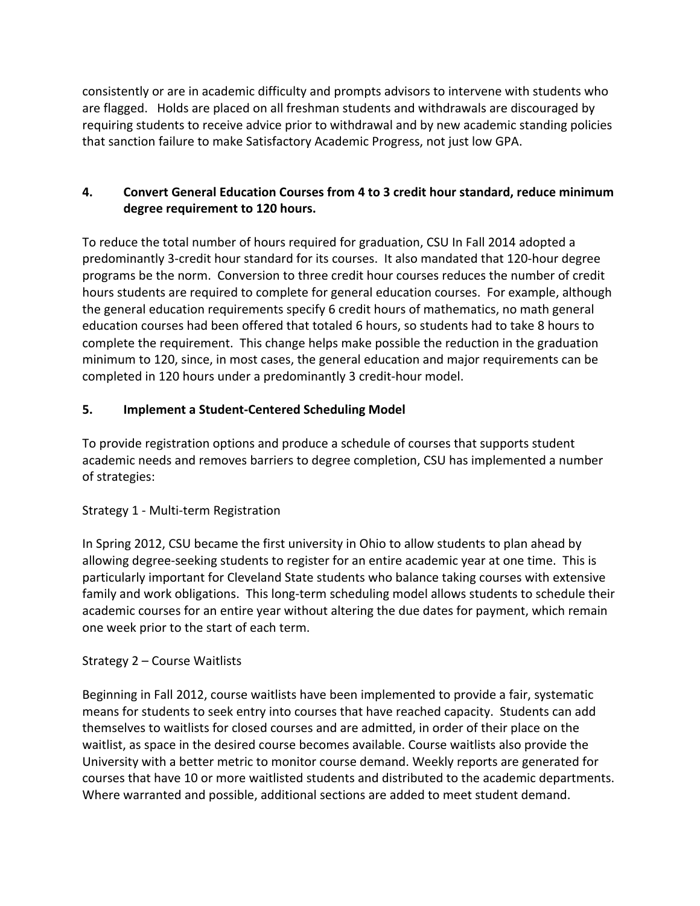consistently or are in academic difficulty and prompts advisors to intervene with students who are flagged. Holds are placed on all freshman students and withdrawals are discouraged by requiring students to receive advice prior to withdrawal and by new academic standing policies that sanction failure to make Satisfactory Academic Progress, not just low GPA.

#### **4.** Convert General Education Courses from 4 to 3 credit hour standard, reduce minimum degree requirement to 120 hours.

To reduce the total number of hours required for graduation, CSU In Fall 2014 adopted a predominantly 3-credit hour standard for its courses. It also mandated that 120-hour degree programs be the norm. Conversion to three credit hour courses reduces the number of credit hours students are required to complete for general education courses. For example, although the general education requirements specify 6 credit hours of mathematics, no math general education courses had been offered that totaled 6 hours, so students had to take 8 hours to complete the requirement. This change helps make possible the reduction in the graduation minimum to 120, since, in most cases, the general education and major requirements can be completed in 120 hours under a predominantly 3 credit-hour model.

## **5. Implement a Student-Centered Scheduling Model**

To provide registration options and produce a schedule of courses that supports student academic needs and removes barriers to degree completion, CSU has implemented a number of strategies:

#### Strategy 1 - Multi-term Registration

In Spring 2012, CSU became the first university in Ohio to allow students to plan ahead by allowing degree-seeking students to register for an entire academic year at one time. This is particularly important for Cleveland State students who balance taking courses with extensive family and work obligations. This long-term scheduling model allows students to schedule their academic courses for an entire year without altering the due dates for payment, which remain one week prior to the start of each term.

#### Strategy  $2$  – Course Waitlists

Beginning in Fall 2012, course waitlists have been implemented to provide a fair, systematic means for students to seek entry into courses that have reached capacity. Students can add themselves to waitlists for closed courses and are admitted, in order of their place on the waitlist, as space in the desired course becomes available. Course waitlists also provide the University with a better metric to monitor course demand. Weekly reports are generated for courses that have 10 or more waitlisted students and distributed to the academic departments. Where warranted and possible, additional sections are added to meet student demand.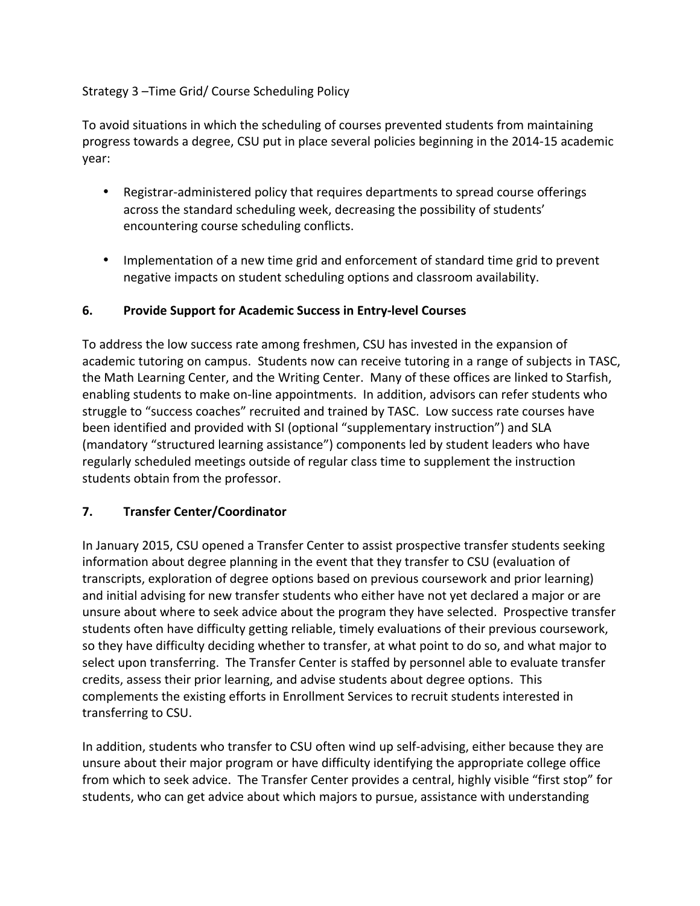#### Strategy 3 – Time Grid/ Course Scheduling Policy

To avoid situations in which the scheduling of courses prevented students from maintaining progress towards a degree, CSU put in place several policies beginning in the 2014-15 academic year:

- Registrar-administered policy that requires departments to spread course offerings across the standard scheduling week, decreasing the possibility of students' encountering course scheduling conflicts.
- Implementation of a new time grid and enforcement of standard time grid to prevent negative impacts on student scheduling options and classroom availability.

## **6.** Provide Support for Academic Success in Entry-level Courses

To address the low success rate among freshmen, CSU has invested in the expansion of academic tutoring on campus. Students now can receive tutoring in a range of subjects in TASC, the Math Learning Center, and the Writing Center. Many of these offices are linked to Starfish, enabling students to make on-line appointments. In addition, advisors can refer students who struggle to "success coaches" recruited and trained by TASC. Low success rate courses have been identified and provided with SI (optional "supplementary instruction") and SLA (mandatory "structured learning assistance") components led by student leaders who have regularly scheduled meetings outside of regular class time to supplement the instruction students obtain from the professor.

#### **7. Transfer Center/Coordinator**

In January 2015, CSU opened a Transfer Center to assist prospective transfer students seeking information about degree planning in the event that they transfer to CSU (evaluation of transcripts, exploration of degree options based on previous coursework and prior learning) and initial advising for new transfer students who either have not yet declared a major or are unsure about where to seek advice about the program they have selected. Prospective transfer students often have difficulty getting reliable, timely evaluations of their previous coursework, so they have difficulty deciding whether to transfer, at what point to do so, and what major to select upon transferring. The Transfer Center is staffed by personnel able to evaluate transfer credits, assess their prior learning, and advise students about degree options. This complements the existing efforts in Enrollment Services to recruit students interested in transferring to CSU.

In addition, students who transfer to CSU often wind up self-advising, either because they are unsure about their major program or have difficulty identifying the appropriate college office from which to seek advice. The Transfer Center provides a central, highly visible "first stop" for students, who can get advice about which majors to pursue, assistance with understanding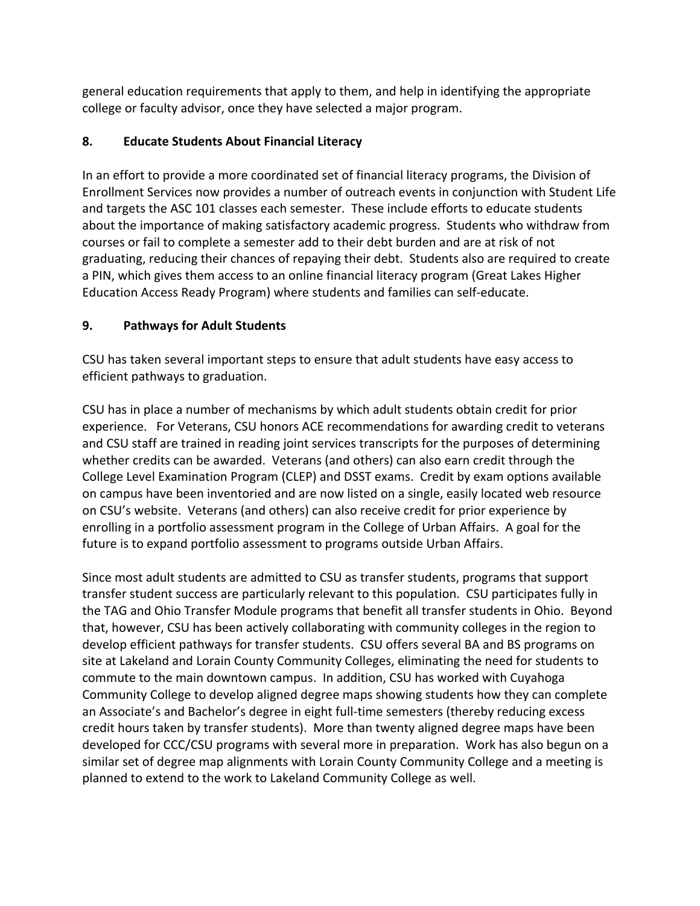general education requirements that apply to them, and help in identifying the appropriate college or faculty advisor, once they have selected a major program.

# **8. Educate Students About Financial Literacy**

In an effort to provide a more coordinated set of financial literacy programs, the Division of Enrollment Services now provides a number of outreach events in conjunction with Student Life and targets the ASC 101 classes each semester. These include efforts to educate students about the importance of making satisfactory academic progress. Students who withdraw from courses or fail to complete a semester add to their debt burden and are at risk of not graduating, reducing their chances of repaying their debt. Students also are required to create a PIN, which gives them access to an online financial literacy program (Great Lakes Higher Education Access Ready Program) where students and families can self-educate.

## **9. Pathways for Adult Students**

CSU has taken several important steps to ensure that adult students have easy access to efficient pathways to graduation.

CSU has in place a number of mechanisms by which adult students obtain credit for prior experience. For Veterans, CSU honors ACE recommendations for awarding credit to veterans and CSU staff are trained in reading joint services transcripts for the purposes of determining whether credits can be awarded. Veterans (and others) can also earn credit through the College Level Examination Program (CLEP) and DSST exams. Credit by exam options available on campus have been inventoried and are now listed on a single, easily located web resource on CSU's website. Veterans (and others) can also receive credit for prior experience by enrolling in a portfolio assessment program in the College of Urban Affairs. A goal for the future is to expand portfolio assessment to programs outside Urban Affairs.

Since most adult students are admitted to CSU as transfer students, programs that support transfer student success are particularly relevant to this population. CSU participates fully in the TAG and Ohio Transfer Module programs that benefit all transfer students in Ohio. Beyond that, however, CSU has been actively collaborating with community colleges in the region to develop efficient pathways for transfer students. CSU offers several BA and BS programs on site at Lakeland and Lorain County Community Colleges, eliminating the need for students to commute to the main downtown campus. In addition, CSU has worked with Cuyahoga Community College to develop aligned degree maps showing students how they can complete an Associate's and Bachelor's degree in eight full-time semesters (thereby reducing excess credit hours taken by transfer students). More than twenty aligned degree maps have been developed for CCC/CSU programs with several more in preparation. Work has also begun on a similar set of degree map alignments with Lorain County Community College and a meeting is planned to extend to the work to Lakeland Community College as well.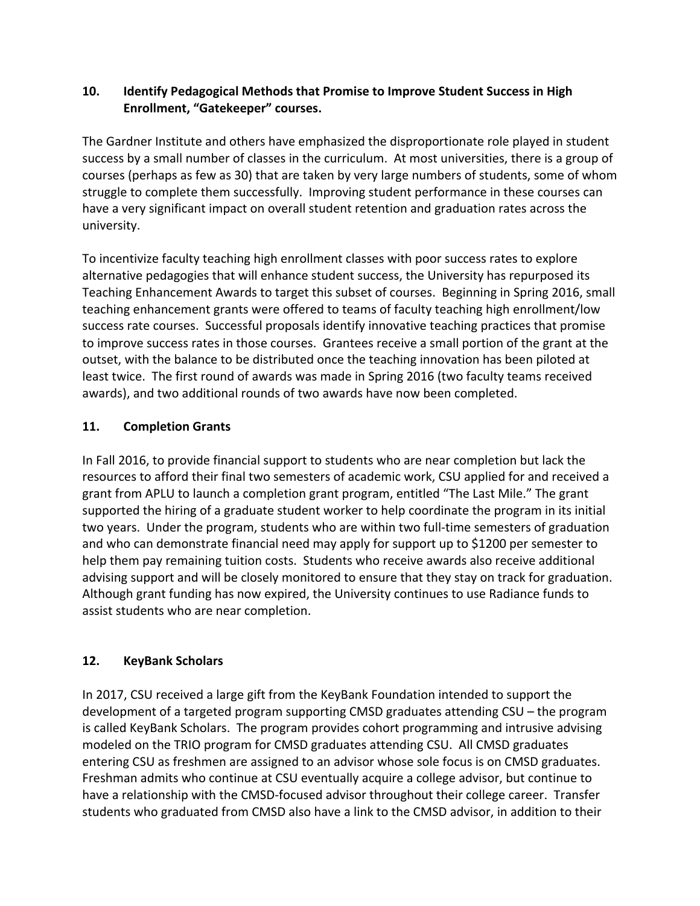#### **10.** Identify Pedagogical Methods that Promise to Improve Student Success in High Enrollment, "Gatekeeper" courses.

The Gardner Institute and others have emphasized the disproportionate role played in student success by a small number of classes in the curriculum. At most universities, there is a group of courses (perhaps as few as 30) that are taken by very large numbers of students, some of whom struggle to complete them successfully. Improving student performance in these courses can have a very significant impact on overall student retention and graduation rates across the university.

To incentivize faculty teaching high enrollment classes with poor success rates to explore alternative pedagogies that will enhance student success, the University has repurposed its Teaching Enhancement Awards to target this subset of courses. Beginning in Spring 2016, small teaching enhancement grants were offered to teams of faculty teaching high enrollment/low success rate courses. Successful proposals identify innovative teaching practices that promise to improve success rates in those courses. Grantees receive a small portion of the grant at the outset, with the balance to be distributed once the teaching innovation has been piloted at least twice. The first round of awards was made in Spring 2016 (two faculty teams received awards), and two additional rounds of two awards have now been completed.

## **11. Completion Grants**

In Fall 2016, to provide financial support to students who are near completion but lack the resources to afford their final two semesters of academic work, CSU applied for and received a grant from APLU to launch a completion grant program, entitled "The Last Mile." The grant supported the hiring of a graduate student worker to help coordinate the program in its initial two years. Under the program, students who are within two full-time semesters of graduation and who can demonstrate financial need may apply for support up to \$1200 per semester to help them pay remaining tuition costs. Students who receive awards also receive additional advising support and will be closely monitored to ensure that they stay on track for graduation. Although grant funding has now expired, the University continues to use Radiance funds to assist students who are near completion.

# **12. KeyBank Scholars**

In 2017, CSU received a large gift from the KeyBank Foundation intended to support the development of a targeted program supporting CMSD graduates attending CSU - the program is called KeyBank Scholars. The program provides cohort programming and intrusive advising modeled on the TRIO program for CMSD graduates attending CSU. All CMSD graduates entering CSU as freshmen are assigned to an advisor whose sole focus is on CMSD graduates. Freshman admits who continue at CSU eventually acquire a college advisor, but continue to have a relationship with the CMSD-focused advisor throughout their college career. Transfer students who graduated from CMSD also have a link to the CMSD advisor, in addition to their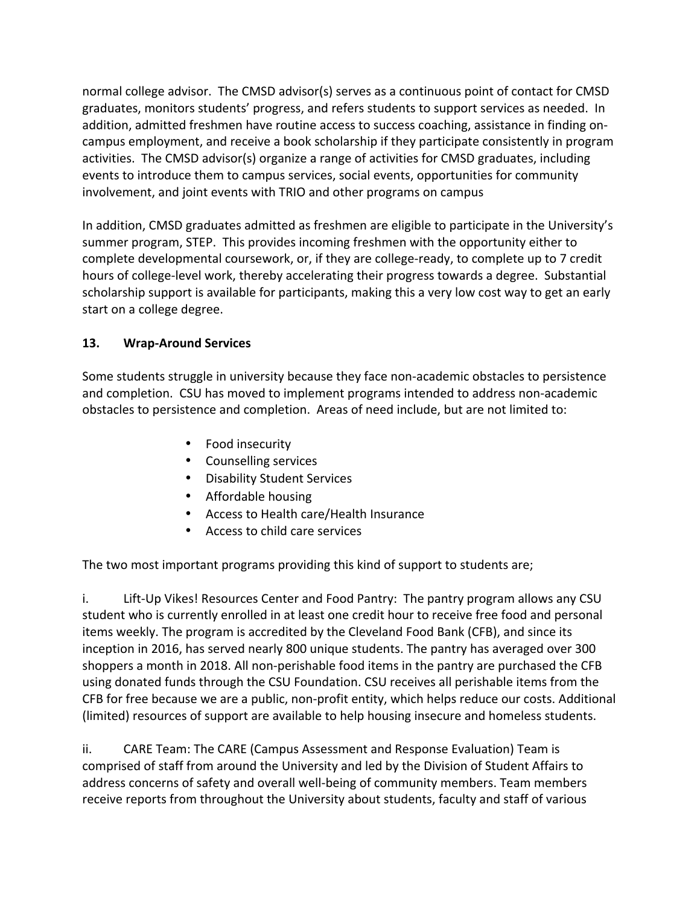normal college advisor. The CMSD advisor(s) serves as a continuous point of contact for CMSD graduates, monitors students' progress, and refers students to support services as needed. In addition, admitted freshmen have routine access to success coaching, assistance in finding oncampus employment, and receive a book scholarship if they participate consistently in program activities. The CMSD advisor(s) organize a range of activities for CMSD graduates, including events to introduce them to campus services, social events, opportunities for community involvement, and joint events with TRIO and other programs on campus

In addition, CMSD graduates admitted as freshmen are eligible to participate in the University's summer program, STEP. This provides incoming freshmen with the opportunity either to complete developmental coursework, or, if they are college-ready, to complete up to 7 credit hours of college-level work, thereby accelerating their progress towards a degree. Substantial scholarship support is available for participants, making this a very low cost way to get an early start on a college degree.

#### **13. Wrap-Around Services**

Some students struggle in university because they face non-academic obstacles to persistence and completion. CSU has moved to implement programs intended to address non-academic obstacles to persistence and completion. Areas of need include, but are not limited to:

- Food insecurity
- Counselling services
- Disability Student Services
- Affordable housing
- Access to Health care/Health Insurance
- Access to child care services

The two most important programs providing this kind of support to students are;

i. Lift-Up Vikes! Resources Center and Food Pantry: The pantry program allows any CSU student who is currently enrolled in at least one credit hour to receive free food and personal items weekly. The program is accredited by the Cleveland Food Bank (CFB), and since its inception in 2016, has served nearly 800 unique students. The pantry has averaged over 300 shoppers a month in 2018. All non-perishable food items in the pantry are purchased the CFB using donated funds through the CSU Foundation. CSU receives all perishable items from the CFB for free because we are a public, non-profit entity, which helps reduce our costs. Additional (limited) resources of support are available to help housing insecure and homeless students.

ii. CARE Team: The CARE (Campus Assessment and Response Evaluation) Team is comprised of staff from around the University and led by the Division of Student Affairs to address concerns of safety and overall well-being of community members. Team members receive reports from throughout the University about students, faculty and staff of various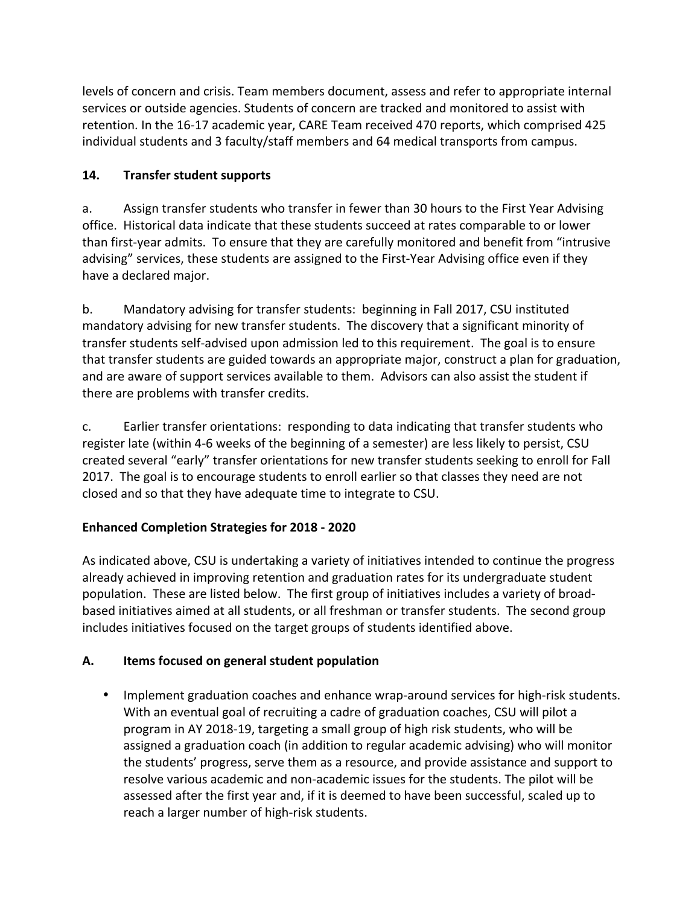levels of concern and crisis. Team members document, assess and refer to appropriate internal services or outside agencies. Students of concern are tracked and monitored to assist with retention. In the 16-17 academic year, CARE Team received 470 reports, which comprised 425 individual students and 3 faculty/staff members and 64 medical transports from campus.

## **14. Transfer student supports**

a. Assign transfer students who transfer in fewer than 30 hours to the First Year Advising office. Historical data indicate that these students succeed at rates comparable to or lower than first-year admits. To ensure that they are carefully monitored and benefit from "intrusive advising" services, these students are assigned to the First-Year Advising office even if they have a declared major.

b. Mandatory advising for transfer students: beginning in Fall 2017, CSU instituted mandatory advising for new transfer students. The discovery that a significant minority of transfer students self-advised upon admission led to this requirement. The goal is to ensure that transfer students are guided towards an appropriate major, construct a plan for graduation, and are aware of support services available to them. Advisors can also assist the student if there are problems with transfer credits.

c. Earlier transfer orientations: responding to data indicating that transfer students who register late (within 4-6 weeks of the beginning of a semester) are less likely to persist, CSU created several "early" transfer orientations for new transfer students seeking to enroll for Fall 2017. The goal is to encourage students to enroll earlier so that classes they need are not closed and so that they have adequate time to integrate to CSU.

# **Enhanced Completion Strategies for 2018 - 2020**

As indicated above, CSU is undertaking a variety of initiatives intended to continue the progress already achieved in improving retention and graduation rates for its undergraduate student population. These are listed below. The first group of initiatives includes a variety of broadbased initiatives aimed at all students, or all freshman or transfer students. The second group includes initiatives focused on the target groups of students identified above.

# A. Items focused on general student population

• Implement graduation coaches and enhance wrap-around services for high-risk students. With an eventual goal of recruiting a cadre of graduation coaches, CSU will pilot a program in AY 2018-19, targeting a small group of high risk students, who will be assigned a graduation coach (in addition to regular academic advising) who will monitor the students' progress, serve them as a resource, and provide assistance and support to resolve various academic and non-academic issues for the students. The pilot will be assessed after the first year and, if it is deemed to have been successful, scaled up to reach a larger number of high-risk students.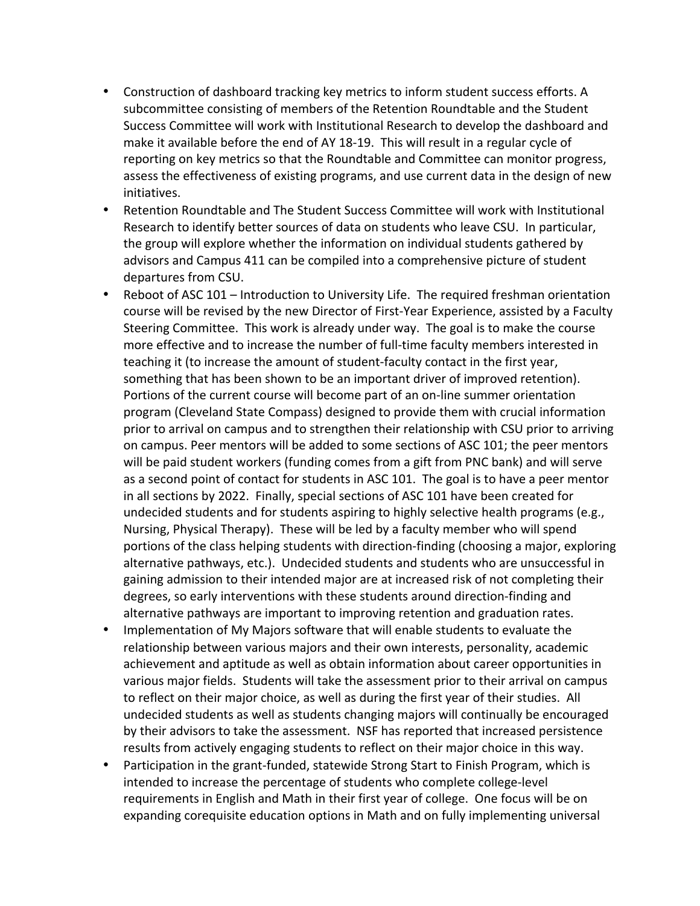- Construction of dashboard tracking key metrics to inform student success efforts. A subcommittee consisting of members of the Retention Roundtable and the Student Success Committee will work with Institutional Research to develop the dashboard and make it available before the end of AY 18-19. This will result in a regular cycle of reporting on key metrics so that the Roundtable and Committee can monitor progress, assess the effectiveness of existing programs, and use current data in the design of new initiatives.
- Retention Roundtable and The Student Success Committee will work with Institutional Research to identify better sources of data on students who leave CSU. In particular, the group will explore whether the information on individual students gathered by advisors and Campus 411 can be compiled into a comprehensive picture of student departures from CSU.
- Reboot of ASC 101 Introduction to University Life. The required freshman orientation course will be revised by the new Director of First-Year Experience, assisted by a Faculty Steering Committee. This work is already under way. The goal is to make the course more effective and to increase the number of full-time faculty members interested in teaching it (to increase the amount of student-faculty contact in the first year, something that has been shown to be an important driver of improved retention). Portions of the current course will become part of an on-line summer orientation program (Cleveland State Compass) designed to provide them with crucial information prior to arrival on campus and to strengthen their relationship with CSU prior to arriving on campus. Peer mentors will be added to some sections of ASC 101; the peer mentors will be paid student workers (funding comes from a gift from PNC bank) and will serve as a second point of contact for students in ASC 101. The goal is to have a peer mentor in all sections by 2022. Finally, special sections of ASC 101 have been created for undecided students and for students aspiring to highly selective health programs (e.g., Nursing, Physical Therapy). These will be led by a faculty member who will spend portions of the class helping students with direction-finding (choosing a major, exploring alternative pathways, etc.). Undecided students and students who are unsuccessful in gaining admission to their intended major are at increased risk of not completing their degrees, so early interventions with these students around direction-finding and alternative pathways are important to improving retention and graduation rates.
- Implementation of My Majors software that will enable students to evaluate the relationship between various majors and their own interests, personality, academic achievement and aptitude as well as obtain information about career opportunities in various major fields. Students will take the assessment prior to their arrival on campus to reflect on their major choice, as well as during the first year of their studies. All undecided students as well as students changing majors will continually be encouraged by their advisors to take the assessment. NSF has reported that increased persistence results from actively engaging students to reflect on their major choice in this way.
- Participation in the grant-funded, statewide Strong Start to Finish Program, which is intended to increase the percentage of students who complete college-level requirements in English and Math in their first year of college. One focus will be on expanding corequisite education options in Math and on fully implementing universal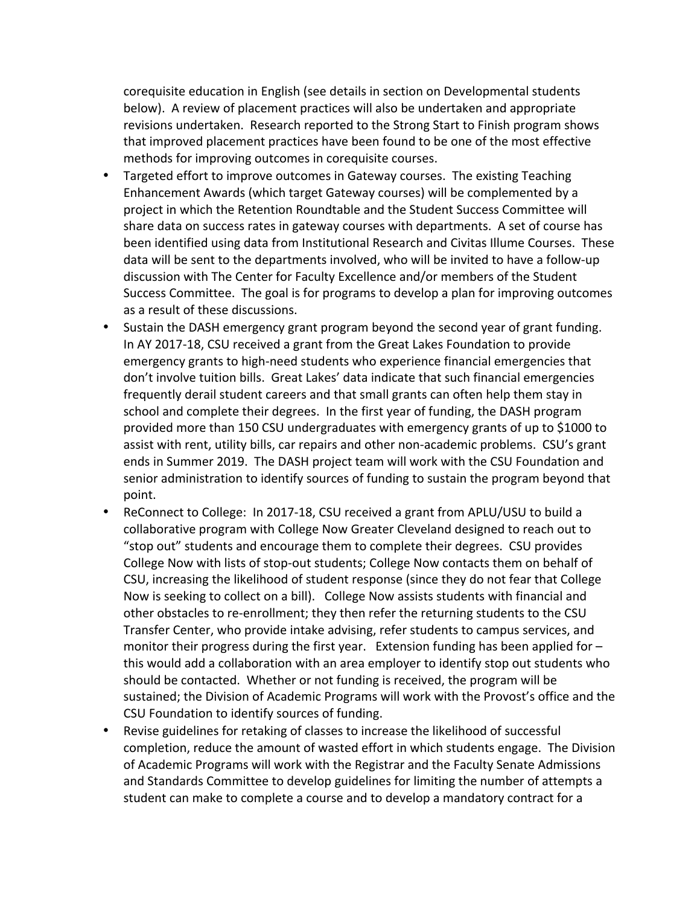corequisite education in English (see details in section on Developmental students below). A review of placement practices will also be undertaken and appropriate revisions undertaken. Research reported to the Strong Start to Finish program shows that improved placement practices have been found to be one of the most effective methods for improving outcomes in corequisite courses.

- Targeted effort to improve outcomes in Gateway courses. The existing Teaching Enhancement Awards (which target Gateway courses) will be complemented by a project in which the Retention Roundtable and the Student Success Committee will share data on success rates in gateway courses with departments. A set of course has been identified using data from Institutional Research and Civitas Illume Courses. These data will be sent to the departments involved, who will be invited to have a follow-up discussion with The Center for Faculty Excellence and/or members of the Student Success Committee. The goal is for programs to develop a plan for improving outcomes as a result of these discussions.
- Sustain the DASH emergency grant program beyond the second year of grant funding. In AY 2017-18, CSU received a grant from the Great Lakes Foundation to provide emergency grants to high-need students who experience financial emergencies that don't involve tuition bills. Great Lakes' data indicate that such financial emergencies frequently derail student careers and that small grants can often help them stay in school and complete their degrees. In the first year of funding, the DASH program provided more than 150 CSU undergraduates with emergency grants of up to \$1000 to assist with rent, utility bills, car repairs and other non-academic problems. CSU's grant ends in Summer 2019. The DASH project team will work with the CSU Foundation and senior administration to identify sources of funding to sustain the program beyond that point.
- ReConnect to College: In 2017-18, CSU received a grant from APLU/USU to build a collaborative program with College Now Greater Cleveland designed to reach out to "stop out" students and encourage them to complete their degrees. CSU provides College Now with lists of stop-out students; College Now contacts them on behalf of CSU, increasing the likelihood of student response (since they do not fear that College Now is seeking to collect on a bill). College Now assists students with financial and other obstacles to re-enrollment; they then refer the returning students to the CSU Transfer Center, who provide intake advising, refer students to campus services, and monitor their progress during the first year. Extension funding has been applied for  $$ this would add a collaboration with an area employer to identify stop out students who should be contacted. Whether or not funding is received, the program will be sustained; the Division of Academic Programs will work with the Provost's office and the CSU Foundation to identify sources of funding.
- Revise guidelines for retaking of classes to increase the likelihood of successful completion, reduce the amount of wasted effort in which students engage. The Division of Academic Programs will work with the Registrar and the Faculty Senate Admissions and Standards Committee to develop guidelines for limiting the number of attempts a student can make to complete a course and to develop a mandatory contract for a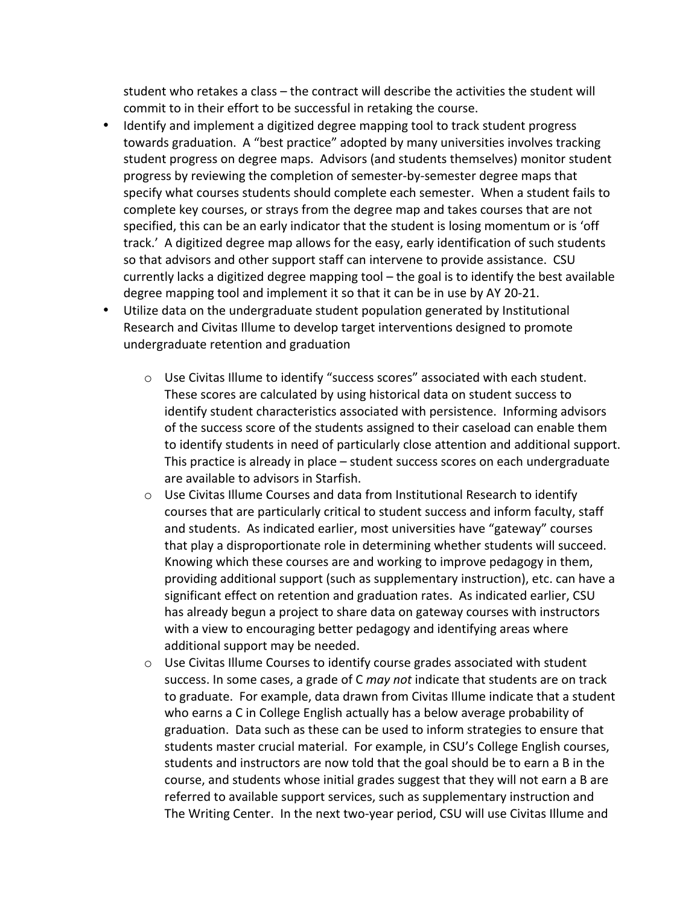student who retakes a class - the contract will describe the activities the student will commit to in their effort to be successful in retaking the course.

- Identify and implement a digitized degree mapping tool to track student progress towards graduation. A "best practice" adopted by many universities involves tracking student progress on degree maps. Advisors (and students themselves) monitor student progress by reviewing the completion of semester-by-semester degree maps that specify what courses students should complete each semester. When a student fails to complete key courses, or strays from the degree map and takes courses that are not specified, this can be an early indicator that the student is losing momentum or is 'off track.' A digitized degree map allows for the easy, early identification of such students so that advisors and other support staff can intervene to provide assistance. CSU currently lacks a digitized degree mapping tool  $-$  the goal is to identify the best available degree mapping tool and implement it so that it can be in use by AY 20-21.
- Utilize data on the undergraduate student population generated by Institutional Research and Civitas Illume to develop target interventions designed to promote undergraduate retention and graduation
	- $\circ$  Use Civitas Illume to identify "success scores" associated with each student. These scores are calculated by using historical data on student success to identify student characteristics associated with persistence. Informing advisors of the success score of the students assigned to their caseload can enable them to identify students in need of particularly close attention and additional support. This practice is already in place - student success scores on each undergraduate are available to advisors in Starfish.
	- $\circ$  Use Civitas Illume Courses and data from Institutional Research to identify courses that are particularly critical to student success and inform faculty, staff and students. As indicated earlier, most universities have "gateway" courses that play a disproportionate role in determining whether students will succeed. Knowing which these courses are and working to improve pedagogy in them, providing additional support (such as supplementary instruction), etc. can have a significant effect on retention and graduation rates. As indicated earlier, CSU has already begun a project to share data on gateway courses with instructors with a view to encouraging better pedagogy and identifying areas where additional support may be needed.
	- $\circ$  Use Civitas Illume Courses to identify course grades associated with student success. In some cases, a grade of C may not indicate that students are on track to graduate. For example, data drawn from Civitas Illume indicate that a student who earns a C in College English actually has a below average probability of graduation. Data such as these can be used to inform strategies to ensure that students master crucial material. For example, in CSU's College English courses, students and instructors are now told that the goal should be to earn a B in the course, and students whose initial grades suggest that they will not earn a B are referred to available support services, such as supplementary instruction and The Writing Center. In the next two-year period, CSU will use Civitas Illume and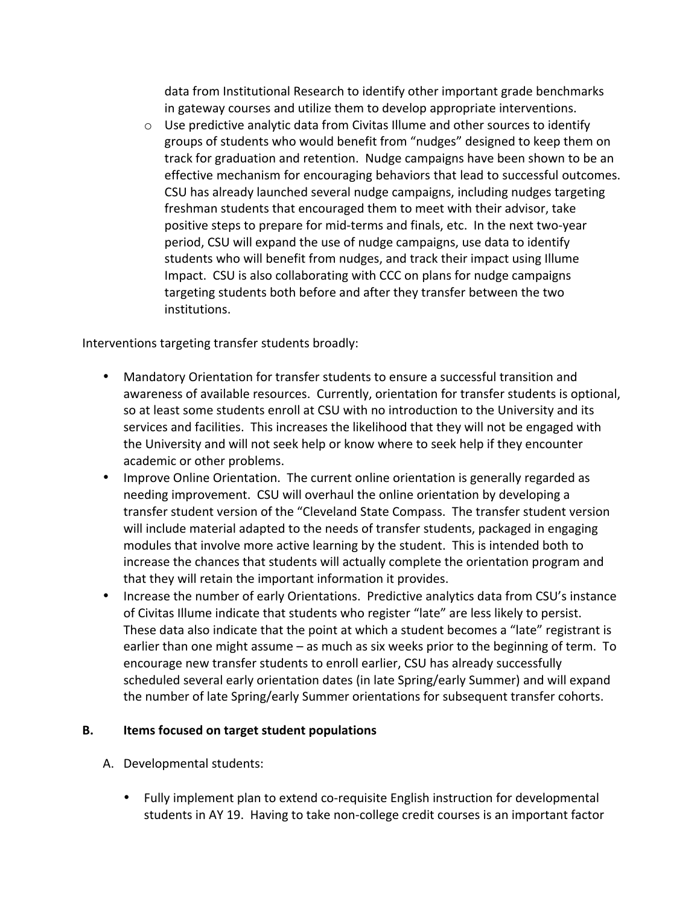data from Institutional Research to identify other important grade benchmarks in gateway courses and utilize them to develop appropriate interventions.

 $\circ$  Use predictive analytic data from Civitas Illume and other sources to identify groups of students who would benefit from "nudges" designed to keep them on track for graduation and retention. Nudge campaigns have been shown to be an effective mechanism for encouraging behaviors that lead to successful outcomes. CSU has already launched several nudge campaigns, including nudges targeting freshman students that encouraged them to meet with their advisor, take positive steps to prepare for mid-terms and finals, etc. In the next two-year period, CSU will expand the use of nudge campaigns, use data to identify students who will benefit from nudges, and track their impact using Illume Impact. CSU is also collaborating with CCC on plans for nudge campaigns targeting students both before and after they transfer between the two institutions.

Interventions targeting transfer students broadly:

- Mandatory Orientation for transfer students to ensure a successful transition and awareness of available resources. Currently, orientation for transfer students is optional, so at least some students enroll at CSU with no introduction to the University and its services and facilities. This increases the likelihood that they will not be engaged with the University and will not seek help or know where to seek help if they encounter academic or other problems.
- Improve Online Orientation. The current online orientation is generally regarded as needing improvement. CSU will overhaul the online orientation by developing a transfer student version of the "Cleveland State Compass. The transfer student version will include material adapted to the needs of transfer students, packaged in engaging modules that involve more active learning by the student. This is intended both to increase the chances that students will actually complete the orientation program and that they will retain the important information it provides.
- Increase the number of early Orientations. Predictive analytics data from CSU's instance of Civitas Illume indicate that students who register "late" are less likely to persist. These data also indicate that the point at which a student becomes a "late" registrant is earlier than one might assume  $-$  as much as six weeks prior to the beginning of term. To encourage new transfer students to enroll earlier, CSU has already successfully scheduled several early orientation dates (in late Spring/early Summer) and will expand the number of late Spring/early Summer orientations for subsequent transfer cohorts.

#### **B.** Items focused on target student populations

- A. Developmental students:
	- Fully implement plan to extend co-requisite English instruction for developmental students in AY 19. Having to take non-college credit courses is an important factor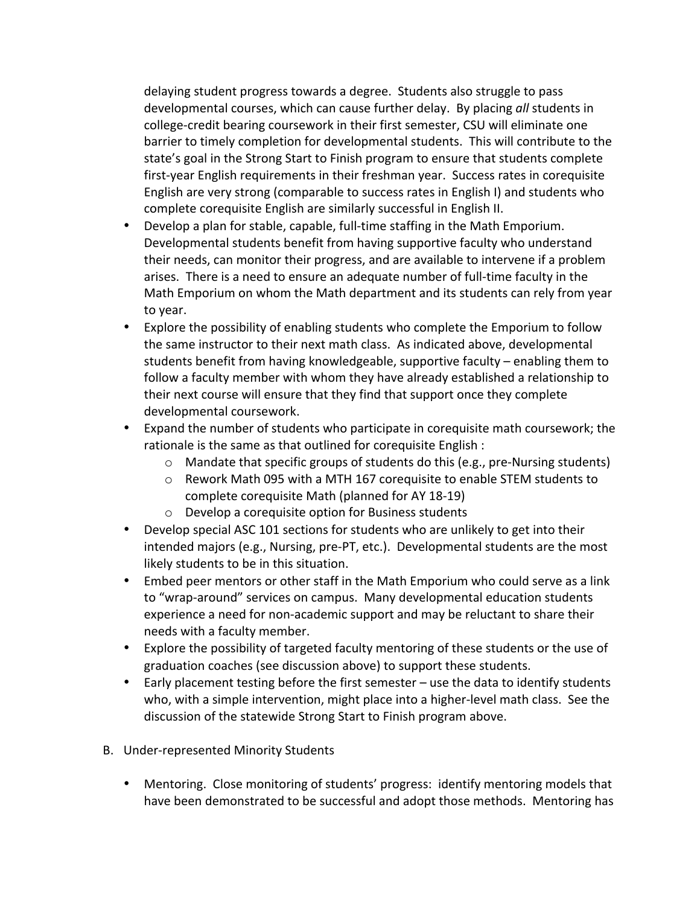delaying student progress towards a degree. Students also struggle to pass developmental courses, which can cause further delay. By placing *all* students in college-credit bearing coursework in their first semester, CSU will eliminate one barrier to timely completion for developmental students. This will contribute to the state's goal in the Strong Start to Finish program to ensure that students complete first-year English requirements in their freshman year. Success rates in corequisite English are very strong (comparable to success rates in English I) and students who complete corequisite English are similarly successful in English II.

- Develop a plan for stable, capable, full-time staffing in the Math Emporium. Developmental students benefit from having supportive faculty who understand their needs, can monitor their progress, and are available to intervene if a problem arises. There is a need to ensure an adequate number of full-time faculty in the Math Emporium on whom the Math department and its students can rely from year to year.
- Explore the possibility of enabling students who complete the Emporium to follow the same instructor to their next math class. As indicated above, developmental students benefit from having knowledgeable, supportive faculty  $-$  enabling them to follow a faculty member with whom they have already established a relationship to their next course will ensure that they find that support once they complete developmental coursework.
- Expand the number of students who participate in corequisite math coursework; the rationale is the same as that outlined for corequisite English :
	- $\circ$  Mandate that specific groups of students do this (e.g., pre-Nursing students)
	- $\circ$  Rework Math 095 with a MTH 167 corequisite to enable STEM students to complete corequisite Math (planned for AY 18-19)
	- $\circ$  Develop a corequisite option for Business students
- Develop special ASC 101 sections for students who are unlikely to get into their intended majors (e.g., Nursing, pre-PT, etc.). Developmental students are the most likely students to be in this situation.
- Embed peer mentors or other staff in the Math Emporium who could serve as a link to "wrap-around" services on campus. Many developmental education students experience a need for non-academic support and may be reluctant to share their needs with a faculty member.
- Explore the possibility of targeted faculty mentoring of these students or the use of graduation coaches (see discussion above) to support these students.
- Early placement testing before the first semester use the data to identify students who, with a simple intervention, might place into a higher-level math class. See the discussion of the statewide Strong Start to Finish program above.
- B. Under-represented Minority Students
	- Mentoring. Close monitoring of students' progress: identify mentoring models that have been demonstrated to be successful and adopt those methods. Mentoring has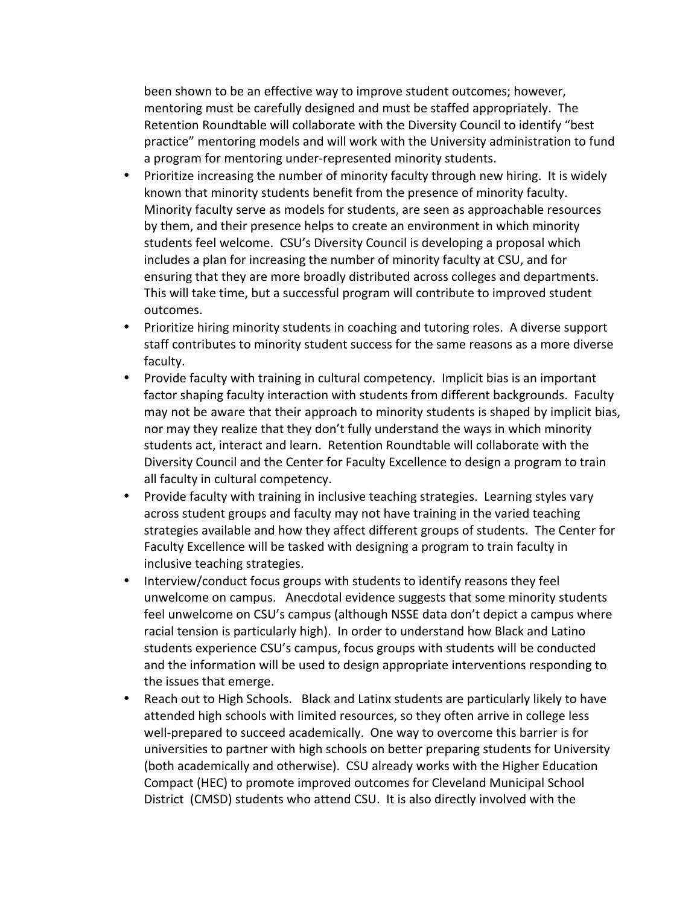been shown to be an effective way to improve student outcomes; however, mentoring must be carefully designed and must be staffed appropriately. The Retention Roundtable will collaborate with the Diversity Council to identify "best practice" mentoring models and will work with the University administration to fund a program for mentoring under-represented minority students.

- Prioritize increasing the number of minority faculty through new hiring. It is widely known that minority students benefit from the presence of minority faculty. Minority faculty serve as models for students, are seen as approachable resources by them, and their presence helps to create an environment in which minority students feel welcome. CSU's Diversity Council is developing a proposal which includes a plan for increasing the number of minority faculty at CSU, and for ensuring that they are more broadly distributed across colleges and departments. This will take time, but a successful program will contribute to improved student outcomes.
- Prioritize hiring minority students in coaching and tutoring roles. A diverse support staff contributes to minority student success for the same reasons as a more diverse faculty.
- Provide faculty with training in cultural competency. Implicit bias is an important factor shaping faculty interaction with students from different backgrounds. Faculty may not be aware that their approach to minority students is shaped by implicit bias, nor may they realize that they don't fully understand the ways in which minority students act, interact and learn. Retention Roundtable will collaborate with the Diversity Council and the Center for Faculty Excellence to design a program to train all faculty in cultural competency.
- Provide faculty with training in inclusive teaching strategies. Learning styles vary across student groups and faculty may not have training in the varied teaching strategies available and how they affect different groups of students. The Center for Faculty Excellence will be tasked with designing a program to train faculty in inclusive teaching strategies.
- Interview/conduct focus groups with students to identify reasons they feel unwelcome on campus. Anecdotal evidence suggests that some minority students feel unwelcome on CSU's campus (although NSSE data don't depict a campus where racial tension is particularly high). In order to understand how Black and Latino students experience CSU's campus, focus groups with students will be conducted and the information will be used to design appropriate interventions responding to the issues that emerge.
- Reach out to High Schools. Black and Latinx students are particularly likely to have attended high schools with limited resources, so they often arrive in college less well-prepared to succeed academically. One way to overcome this barrier is for universities to partner with high schools on better preparing students for University (both academically and otherwise). CSU already works with the Higher Education Compact (HEC) to promote improved outcomes for Cleveland Municipal School District (CMSD) students who attend CSU. It is also directly involved with the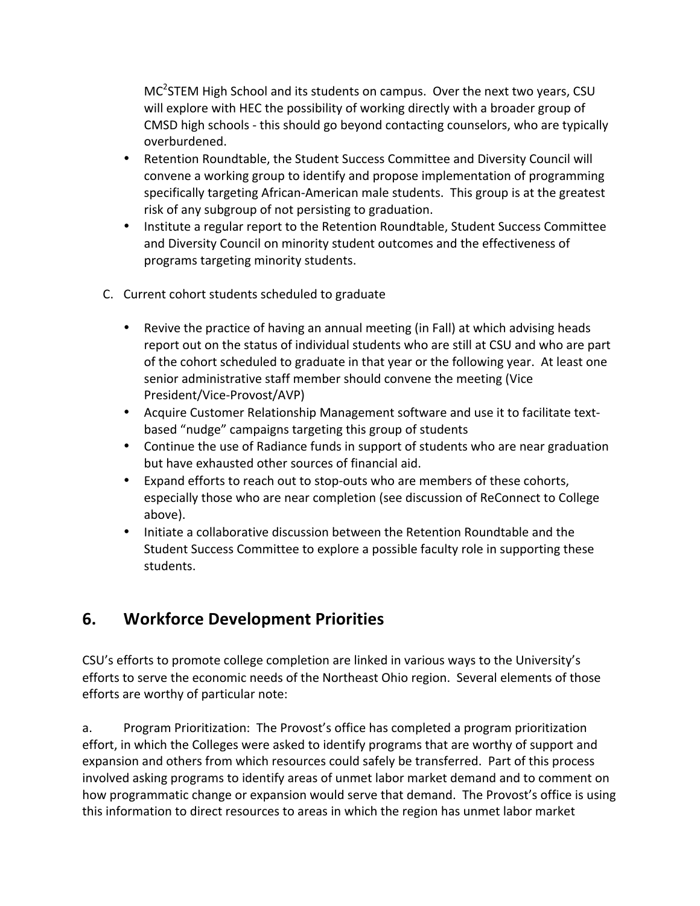$MC<sup>2</sup>STEM$  High School and its students on campus. Over the next two years, CSU will explore with HEC the possibility of working directly with a broader group of CMSD high schools - this should go beyond contacting counselors, who are typically overburdened.

- Retention Roundtable, the Student Success Committee and Diversity Council will convene a working group to identify and propose implementation of programming specifically targeting African-American male students. This group is at the greatest risk of any subgroup of not persisting to graduation.
- Institute a regular report to the Retention Roundtable, Student Success Committee and Diversity Council on minority student outcomes and the effectiveness of programs targeting minority students.
- C. Current cohort students scheduled to graduate
	- Revive the practice of having an annual meeting (in Fall) at which advising heads report out on the status of individual students who are still at CSU and who are part of the cohort scheduled to graduate in that year or the following year. At least one senior administrative staff member should convene the meeting (Vice President/Vice-Provost/AVP)
	- Acquire Customer Relationship Management software and use it to facilitate textbased "nudge" campaigns targeting this group of students
	- Continue the use of Radiance funds in support of students who are near graduation but have exhausted other sources of financial aid.
	- Expand efforts to reach out to stop-outs who are members of these cohorts, especially those who are near completion (see discussion of ReConnect to College above).
	- Initiate a collaborative discussion between the Retention Roundtable and the Student Success Committee to explore a possible faculty role in supporting these students.

# **6. Workforce Development Priorities**

CSU's efforts to promote college completion are linked in various ways to the University's efforts to serve the economic needs of the Northeast Ohio region. Several elements of those efforts are worthy of particular note:

a. Program Prioritization: The Provost's office has completed a program prioritization effort, in which the Colleges were asked to identify programs that are worthy of support and expansion and others from which resources could safely be transferred. Part of this process involved asking programs to identify areas of unmet labor market demand and to comment on how programmatic change or expansion would serve that demand. The Provost's office is using this information to direct resources to areas in which the region has unmet labor market